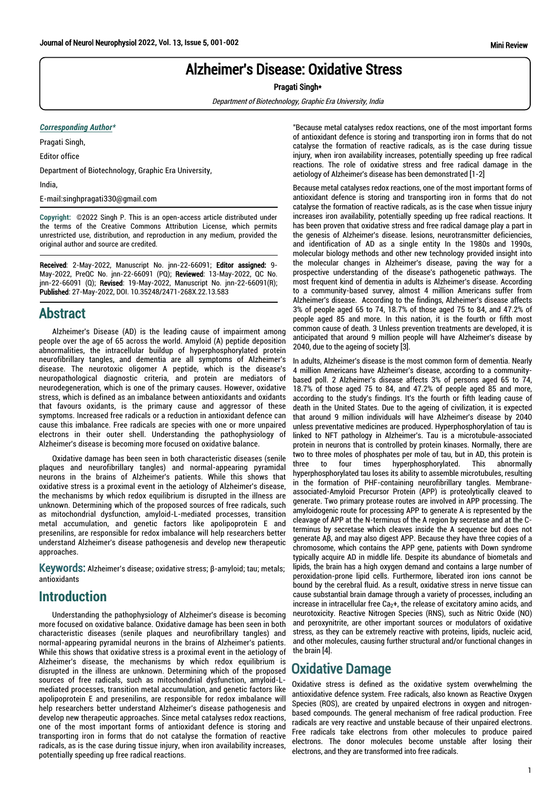# Alzheimer's Disease: Oxidative Stress

Pragati Singh\*

Department of Biotechnology, Graphic Era University, India

#### *Corresponding Author\**

Pragati Singh,

Editor office

Department of Biotechnology, Graphic Era University,

India,

E-mail:singhpragati330@gmail.com

**Copyright:** ©2022 Singh P. This is an open-access article distributed under the terms of the Creative Commons Attribution License, which permits unrestricted use, distribution, and reproduction in any medium, provided the original author and source are credited.

Received: 2-May-2022, Manuscript No. jnn-22-66091; Editor assigned: 9- May-2022, PreQC No. jnn-22-66091 (PQ); Reviewed: 13-May-2022, QC No. jnn-22-66091 (Q); Revised: 19-May-2022, Manuscript No. jnn-22-66091(R); Published: 27-May-2022, DOI. 10.35248/2471-268X.22.13.583

### Abstract

Alzheimer's Disease (AD) is the leading cause of impairment among people over the age of 65 across the world. Amyloid (A) peptide deposition abnormalities, the intracellular buildup of hyperphosphorylated protein neurofibrillary tangles, and dementia are all symptoms of Alzheimer's disease. The neurotoxic oligomer A peptide, which is the disease's neuropathological diagnostic criteria, and protein are mediators of neurodegeneration, which is one of the primary causes. However, oxidative stress, which is defined as an imbalance between antioxidants and oxidants that favours oxidants, is the primary cause and aggressor of these symptoms. Increased free radicals or a reduction in antioxidant defence can cause this imbalance. Free radicals are species with one or more unpaired electrons in their outer shell. Understanding the pathophysiology of Alzheimer's disease is becoming more focused on oxidative balance.

Oxidative damage has been seen in both characteristic diseases (senile plaques and neurofibrillary tangles) and normal-appearing pyramidal neurons in the brains of Alzheimer's patients. While this shows that oxidative stress is a proximal event in the aetiology of Alzheimer's disease, the mechanisms by which redox equilibrium is disrupted in the illness are unknown. Determining which of the proposed sources of free radicals, such as mitochondrial dysfunction, amyloid-L-mediated processes, transition metal accumulation, and genetic factors like apolipoprotein E and presenilins, are responsible for redox imbalance will help researchers better understand Alzheimer's disease pathogenesis and develop new therapeutic approaches.

Keywords: Alzheimer's disease; oxidative stress; β-amyloid; tau; metals; antioxidants

#### **Introduction**

Understanding the pathophysiology of Alzheimer's disease is becoming more focused on oxidative balance. Oxidative damage has been seen in both characteristic diseases (senile plaques and neurofibrillary tangles) and normal-appearing pyramidal neurons in the brains of Alzheimer's patients. While this shows that oxidative stress is a proximal event in the aetiology of Alzheimer's disease, the mechanisms by which redox equilibrium is disrupted in the illness are unknown. Determining which of the proposed sources of free radicals, such as mitochondrial dysfunction, amyloid-Lmediated processes, transition metal accumulation, and genetic factors like apolipoprotein E and presenilins, are responsible for redox imbalance will help researchers better understand Alzheimer's disease pathogenesis and develop new therapeutic approaches. Since metal catalyses redox reactions, one of the most important forms of antioxidant defence is storing and transporting iron in forms that do not catalyse the formation of reactive radicals, as is the case during tissue injury, when iron availability increases, potentially speeding up free radical reactions.

"Because metal catalyses redox reactions, one of the most important forms of antioxidant defence is storing and transporting iron in forms that do not catalyse the formation of reactive radicals, as is the case during tissue injury, when iron availability increases, potentially speeding up free radical reactions. The role of oxidative stress and free radical damage in the aetiology of Alzheimer's disease has been demonstrated [1-2]

Because metal catalyses redox reactions, one of the most important forms of antioxidant defence is storing and transporting iron in forms that do not catalyse the formation of reactive radicals, as is the case when tissue injury increases iron availability, potentially speeding up free radical reactions. It has been proven that oxidative stress and free radical damage play a part in the genesis of Alzheimer's disease. lesions, neurotransmitter deficiencies, and identification of AD as a single entity In the 1980s and 1990s, molecular biology methods and other new technology provided insight into the molecular changes in Alzheimer's disease, paving the way for a prospective understanding of the disease's pathogenetic pathways. The most frequent kind of dementia in adults is Alzheimer's disease. According to a community-based survey, almost 4 million Americans suffer from Alzheimer's disease. According to the findings, Alzheimer's disease affects 3% of people aged 65 to 74, 18.7% of those aged 75 to 84, and 47.2% of people aged 85 and more. In this nation, it is the fourth or fifth most common cause of death. 3 Unless prevention treatments are developed, it is anticipated that around 9 million people will have Alzheimer's disease by 2040, due to the ageing of society [3].

In adults, Alzheimer's disease is the most common form of dementia. Nearly 4 million Americans have Alzheimer's disease, according to a communitybased poll. 2 Alzheimer's disease affects 3% of persons aged 65 to 74, 18.7% of those aged 75 to 84, and 47.2% of people aged 85 and more, according to the study's findings. It's the fourth or fifth leading cause of death in the United States. Due to the ageing of civilization, it is expected that around 9 million individuals will have Alzheimer's disease by 2040 unless preventative medicines are produced. Hyperphosphorylation of tau is linked to NFT pathology in Alzheimer's. Tau is a microtubule-associated protein in neurons that is controlled by protein kinases. Normally, there are two to three moles of phosphates per mole of tau, but in AD, this protein is three to four times hyperphosphorylated. This abnormally hyperphosphorylated tau loses its ability to assemble microtubules, resulting in the formation of PHF-containing neurofibrillary tangles. Membraneassociated-Amyloid Precursor Protein (APP) is proteolytically cleaved to generate. Two primary protease routes are involved in APP processing. The amyloidogenic route for processing APP to generate A is represented by the cleavage of APP at the N-terminus of the A region by secretase and at the Cterminus by secretase which cleaves inside the A sequence but does not generate Aβ, and may also digest APP. Because they have three copies of a chromosome, which contains the APP gene, patients with Down syndrome typically acquire AD in middle life. Despite its abundance of biometals and lipids, the brain has a high oxygen demand and contains a large number of peroxidation-prone lipid cells. Furthermore, liberated iron ions cannot be bound by the cerebral fluid. As a result, oxidative stress in nerve tissue can cause substantial brain damage through a variety of processes, including an increase in intracellular free  $Ca<sub>2</sub>+$ , the release of excitatory amino acids, and neurotoxicity. Reactive Nitrogen Species (RNS), such as Nitric Oxide (NO) and peroxynitrite, are other important sources or modulators of oxidative stress, as they can be extremely reactive with proteins, lipids, nucleic acid, and other molecules, causing further structural and/or functional changes in the brain [4].

## Oxidative Damage

Oxidative stress is defined as the oxidative system overwhelming the antioxidative defence system. Free radicals, also known as Reactive Oxygen Species (ROS), are created by unpaired electrons in oxygen and nitrogenbased compounds. The general mechanism of free radical production. Free radicals are very reactive and unstable because of their unpaired electrons. Free radicals take electrons from other molecules to produce paired electrons. The donor molecules become unstable after losing their electrons, and they are transformed into free radicals.